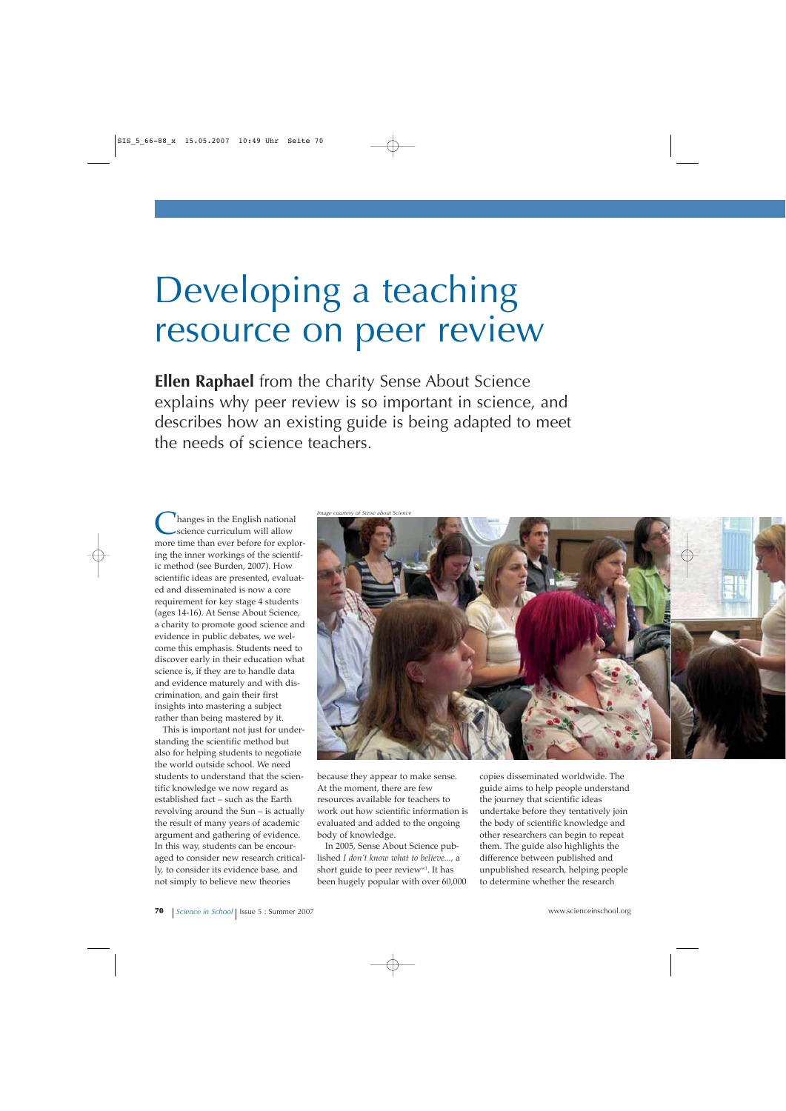# Developing a teaching resource on peer review

**Ellen Raphael** from the charity Sense About Science explains why peer review is so important in science, and describes how an existing guide is being adapted to meet the needs of science teachers.

Inanges in the English national science curriculum will allow more time than ever before for exploring the inner workings of the scientific method (see Burden, 2007). How scientific ideas are presented, evaluated and disseminated is now a core requirement for key stage 4 students (ages 14-16). At Sense About Science, a charity to promote good science and evidence in public debates, we welcome this emphasis. Students need to discover early in their education what science is, if they are to handle data and evidence maturely and with discrimination, and gain their first insights into mastering a subject rather than being mastered by it.

This is important not just for understanding the scientific method but also for helping students to negotiate the world outside school. We need students to understand that the scientific knowledge we now regard as established fact – such as the Earth revolving around the Sun – is actually the result of many years of academic argument and gathering of evidence. In this way, students can be encouraged to consider new research critically, to consider its evidence base, and not simply to believe new theories



because they appear to make sense. At the moment, there are few resources available for teachers to work out how scientific information is evaluated and added to the ongoing body of knowledge.

In 2005, Sense About Science published *I don't know what to believe...*, a short guide to peer review<sup>w1</sup>. It has been hugely popular with over 60,000 copies disseminated worldwide. The guide aims to help people understand the journey that scientific ideas undertake before they tentatively join the body of scientific knowledge and other researchers can begin to repeat them. The guide also highlights the difference between published and unpublished research, helping people to determine whether the research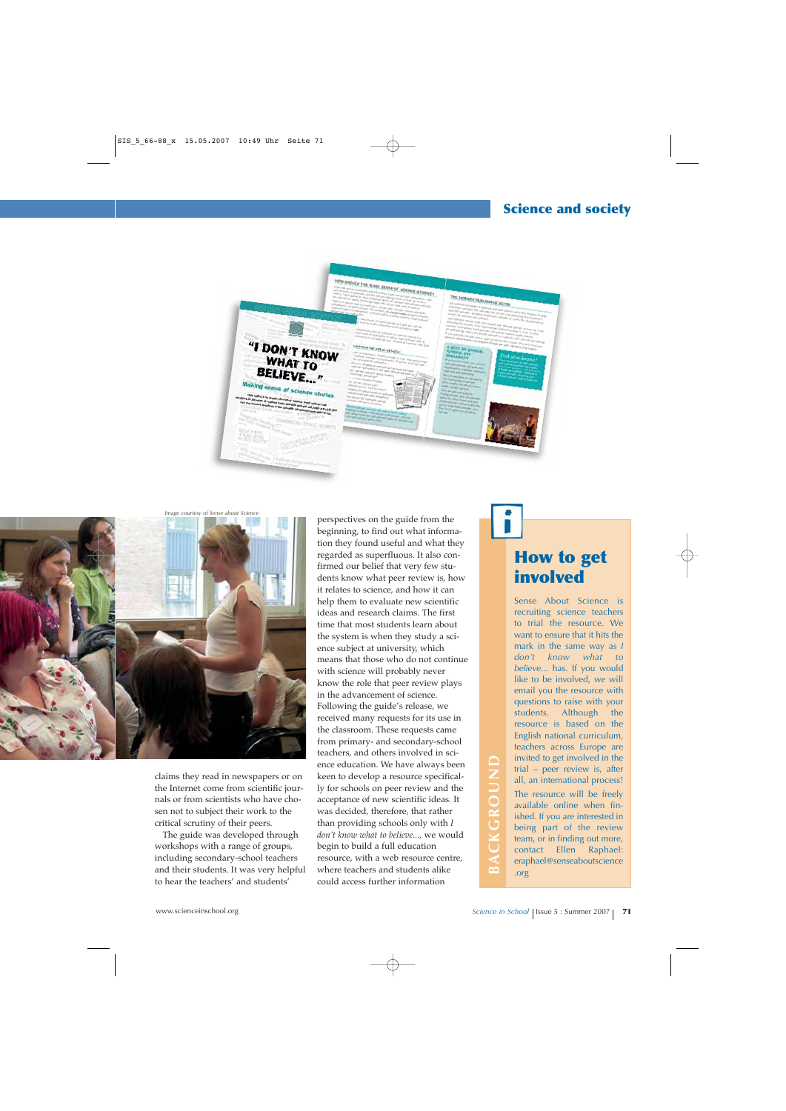



claims they read in newspapers or on the Internet come from scientific journals or from scientists who have chosen not to subject their work to the critical scrutiny of their peers.

The guide was developed through workshops with a range of groups, including secondary-school teachers and their students. It was very helpful to hear the teachers' and students'

perspectives on the guide from the beginning, to find out what information they found useful and what they regarded as superfluous. It also confirmed our belief that very few students know what peer review is, how it relates to science, and how it can help them to evaluate new scientific ideas and research claims. The first time that most students learn about the system is when they study a science subject at university, which means that those who do not continue with science will probably never know the role that peer review plays in the advancement of science. Following the guide's release, we received many requests for its use in the classroom. These requests came from primary- and secondary-school teachers, and others involved in science education. We have always been keen to develop a resource specifically for schools on peer review and the acceptance of new scientific ideas. It was decided, therefore, that rather than providing schools only with *I don't know what to believe...*, we would begin to build a full education resource, with a web resource centre, where teachers and students alike could access further information considered in environmental in environmental in environmental in the methanism of from scientific jour-<br>and the internet come from scientists who have the acceptance of new science of the was decided, therefore, that rathe

## **How to get involved**

Sense About Science is recruiting science teachers to trial the resource. We want to ensure that it hits the mark in the same way as *I don't know what to believe...* has. If you would like to be involved, we will email you the resource with questions to raise with your students. Although the resource is based on the English national curriculum, teachers across Europe are invited to get involved in the trial – peer review is, after all, an international process! The resource will be freely available online when finished. If you are interested in being part of the review team, or in finding out more, contact Ellen Raphael: eraphael@senseaboutscience .org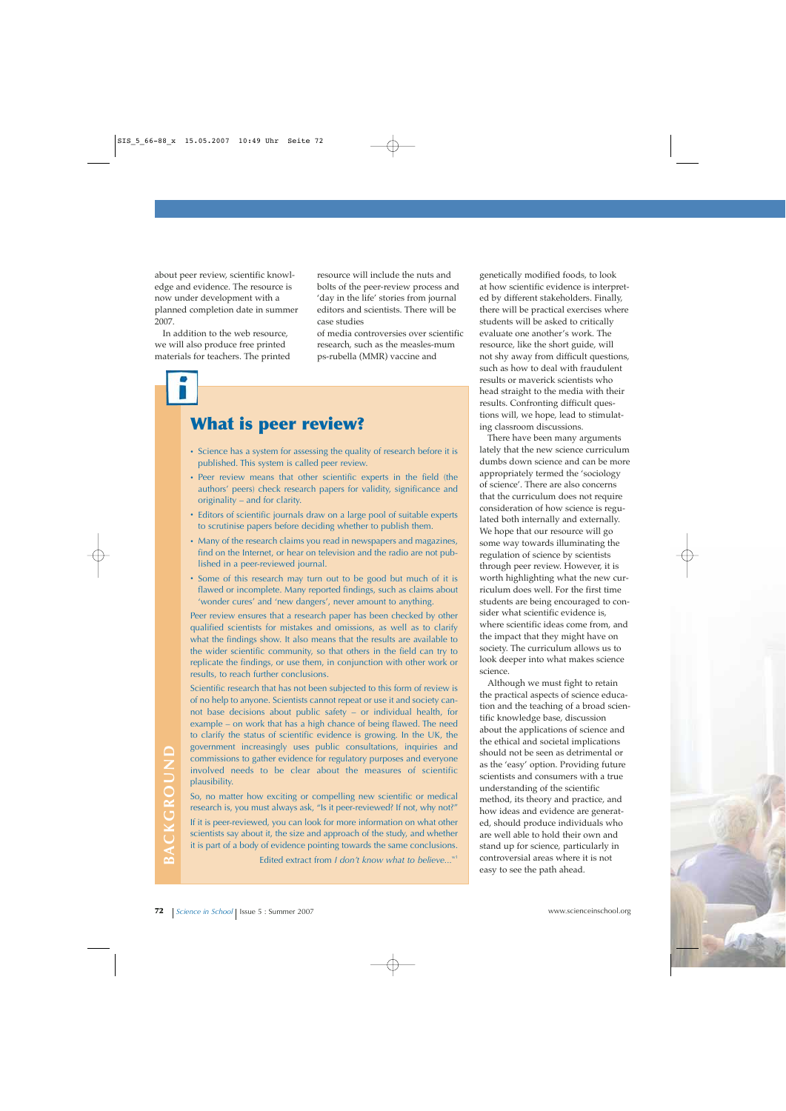about peer review, scientific knowledge and evidence. The resource is now under development with a planned completion date in summer 2007.

In addition to the web resource, we will also produce free printed materials for teachers. The printed

resource will include the nuts and bolts of the peer-review process and 'day in the life' stories from journal editors and scientists. There will be case studies

of media controversies over scientific research, such as the measles-mum ps-rubella (MMR) vaccine and

## **What is peer review?**

- **·** Science has a system for assessing the quality of research before it is published. This system is called peer review.
- **·** Peer review means that other scientific experts in the field (the authors' peers) check research papers for validity, significance and originality – and for clarity.
- **·** Editors of scientific journals draw on a large pool of suitable experts to scrutinise papers before deciding whether to publish them.
- **·** Many of the research claims you read in newspapers and magazines, find on the Internet, or hear on television and the radio are not published in a peer-reviewed journal.
- **·** Some of this research may turn out to be good but much of it is flawed or incomplete. Many reported findings, such as claims about 'wonder cures' and 'new dangers', never amount to anything.

Peer review ensures that a research paper has been checked by other qualified scientists for mistakes and omissions, as well as to clarify what the findings show. It also means that the results are available to the wider scientific community, so that others in the field can try to replicate the findings, or use them, in conjunction with other work or results, to reach further conclusions.

Scientific research that has not been subjected to this form of review is of no help to anyone. Scientists cannot repeat or use it and society cannot base decisions about public safety – or individual health, for example – on work that has a high chance of being flawed. The need to clarify the status of scientific evidence is growing. In the UK, the government increasingly uses public consultations, inquiries and commissions to gather evidence for regulatory purposes and everyone involved needs to be clear about the measures of scientific plausibility.

So, no matter how exciting or compelling new scientific or medical research is, you must always ask, "Is it peer-reviewed? If not, why not?"

If it is peer-reviewed, you can look for more information on what other scientists say about it, the size and approach of the study, and whether it is part of a body of evidence pointing towards the same conclusions.

Edited extract from *I don't know what to believe...*<sup>w1</sup>

genetically modified foods, to look at how scientific evidence is interpreted by different stakeholders. Finally, there will be practical exercises where students will be asked to critically evaluate one another's work. The resource, like the short guide, will not shy away from difficult questions, such as how to deal with fraudulent results or maverick scientists who head straight to the media with their results. Confronting difficult questions will, we hope, lead to stimulating classroom discussions.

There have been many arguments lately that the new science curriculum dumbs down science and can be more appropriately termed the 'sociology of science'. There are also concerns that the curriculum does not require consideration of how science is regulated both internally and externally. We hope that our resource will go some way towards illuminating the regulation of science by scientists through peer review. However, it is worth highlighting what the new curriculum does well. For the first time students are being encouraged to consider what scientific evidence is, where scientific ideas come from, and the impact that they might have on society. The curriculum allows us to look deeper into what makes science science.

Although we must fight to retain the practical aspects of science education and the teaching of a broad scientific knowledge base, discussion about the applications of science and the ethical and societal implications should not be seen as detrimental or as the 'easy' option. Providing future scientists and consumers with a true understanding of the scientific method, its theory and practice, and how ideas and evidence are generated, should produce individuals who are well able to hold their own and stand up for science, particularly in controversial areas where it is not easy to see the path ahead. From increasingly use public consultantion, inquires and one of scientific and consumission to the clear about the measures of scientific scientists and consumers with a true solution of the scientific or medical transfers